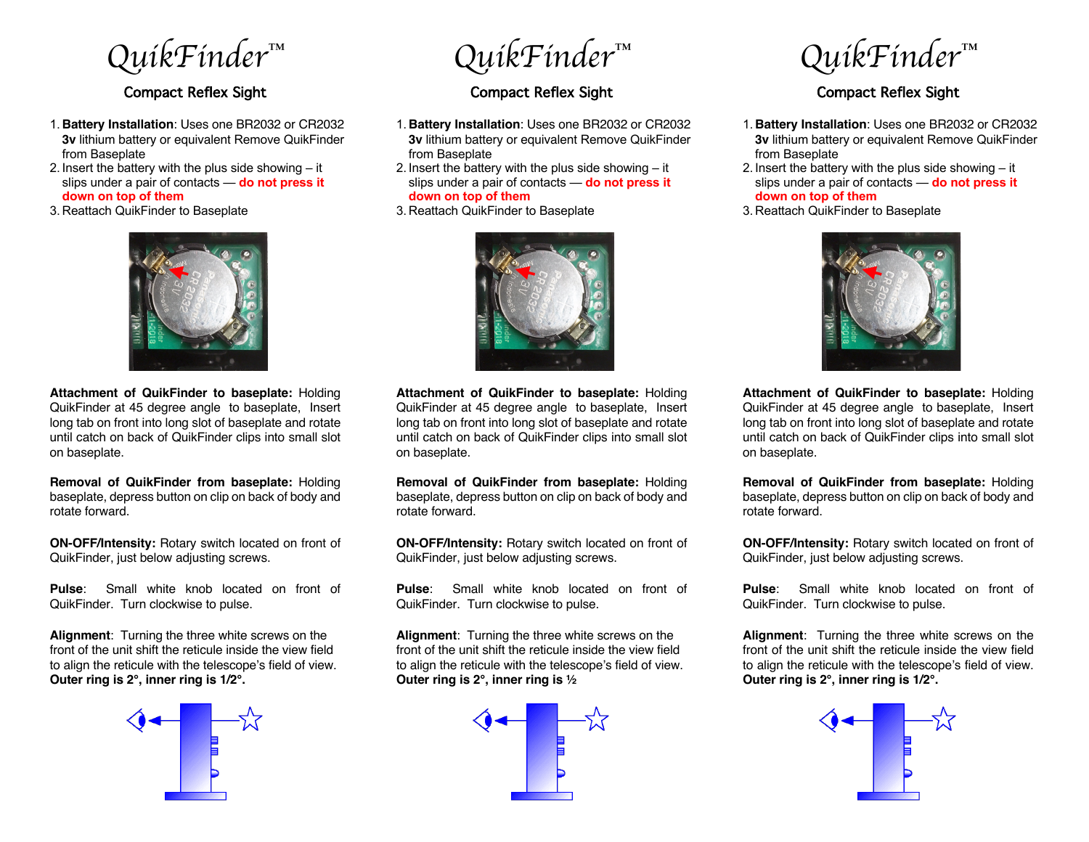*QuikFinder™*

## Compact Reflex Sight

- 1. **Battery Installation**: Uses one BR2032 or CR2032 **3v** lithium battery or equivalent Remove QuikFinder from Baseplate
- 2. Insert the battery with the plus side showing it slips under a pair of contacts — **do not press it down on top of them**
- 3. Reattach QuikFinder to Baseplate



**Attachment of QuikFinder to baseplate:** Holding QuikFinder at 45 degree angle to baseplate, Insert long tab on front into long slot of baseplate and rotate until catch on back of QuikFinder clips into small slot on baseplate.

**Removal of QuikFinder from baseplate:** Holding baseplate, depress button on clip on back of body and rotate forward.

**ON-OFF/Intensity:** Rotary switch located on front of QuikFinder, just below adjusting screws.

**Pulse**: Small white knob located on front of QuikFinder. Turn clockwise to pulse.

**Alignment**: Turning the three white screws on the front of the unit shift the reticule inside the view field to align the reticule with the telescope's field of view. **Outer ring is 2°, inner ring is 1/2°.**



*QuikFinder™*

## Compact Reflex Sight

- 1. **Battery Installation**: Uses one BR2032 or CR2032 **3v** lithium battery or equivalent Remove QuikFinder from Baseplate
- 2. Insert the battery with the plus side showing it slips under a pair of contacts — **do not press it down on top of them**
- 3. Reattach QuikFinder to Baseplate



**Attachment of QuikFinder to baseplate:** Holding QuikFinder at 45 degree angle to baseplate, Insert long tab on front into long slot of baseplate and rotate until catch on back of QuikFinder clips into small slot on baseplate.

**Removal of QuikFinder from baseplate:** Holding baseplate, depress button on clip on back of body and rotate forward.

**ON-OFF/Intensity:** Rotary switch located on front of QuikFinder, just below adjusting screws.

**Pulse**: Small white knob located on front of QuikFinder. Turn clockwise to pulse.

**Alignment**: Turning the three white screws on the front of the unit shift the reticule inside the view field to align the reticule with the telescope's field of view. **Outer ring is 2°, inner ring is ½**



*QuikFinder™*

## Compact Reflex Sight

- 1. **Battery Installation**: Uses one BR2032 or CR2032 **3v** lithium battery or equivalent Remove QuikFinder from Baseplate
- 2. Insert the battery with the plus side showing it slips under a pair of contacts — **do not press it down on top of them**
- 3. Reattach QuikFinder to Baseplate



**Attachment of QuikFinder to baseplate:** Holding QuikFinder at 45 degree angle to baseplate, Insert long tab on front into long slot of baseplate and rotate until catch on back of QuikFinder clips into small slot on baseplate.

**Removal of QuikFinder from baseplate:** Holding baseplate, depress button on clip on back of body and rotate forward.

**ON-OFF/Intensity:** Rotary switch located on front of QuikFinder, just below adjusting screws.

**Pulse**: Small white knob located on front of QuikFinder. Turn clockwise to pulse.

**Alignment**: Turning the three white screws on the front of the unit shift the reticule inside the view field to align the reticule with the telescope's field of view. **Outer ring is 2°, inner ring is 1/2°.**